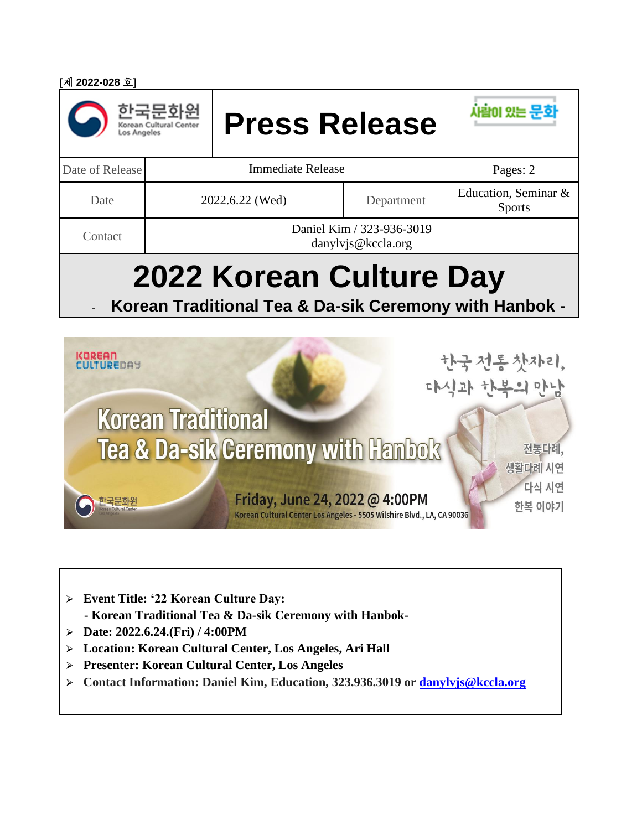| [제 2022-028 호]                                                                    |                                                 |                      |            |                                       |
|-----------------------------------------------------------------------------------|-------------------------------------------------|----------------------|------------|---------------------------------------|
| os Angeles                                                                        | Korean Cultural Center                          | <b>Press Release</b> |            | 사람이 있는 문호                             |
| Date of Release                                                                   | <b>Immediate Release</b>                        |                      | Pages: 2   |                                       |
| Date                                                                              | 2022.6.22 (Wed)                                 |                      | Department | Education, Seminar &<br><b>Sports</b> |
| Contact                                                                           | Daniel Kim / 323-936-3019<br>danylvjs@kccla.org |                      |            |                                       |
| 2022 Korean Culture Day<br>Korean Traditional Tea & Da-sik Ceremony with Hanbok - |                                                 |                      |            |                                       |
| <b>KOREAN</b><br>TUREDAY                                                          |                                                 |                      |            | 한국전통찻자리,                              |

Friday, June 24, 2022 @ 4:00PM

Korean Cultural Center Los Angeles - 5505 Wilshire Blvd., LA, CA 90036

다식 시연

한복 이야기

생활다례 시연

- ⮚ **Event Title: '22 Korean Culture Day: - Korean Traditional Tea & Da-sik Ceremony with Hanbok-**
- ⮚ **Date: 2022.6.24.(Fri) / 4:00PM**

한국문화원

- ⮚ **Location: Korean Cultural Center, Los Angeles, Ari Hall**
- ⮚ **Presenter: Korean Cultural Center, Los Angeles**
- ⮚ **Contact Information: Daniel Kim, Education, 323.936.3019 or [danylvjs@kccla.org](mailto:danylvjs@kccla.org)**